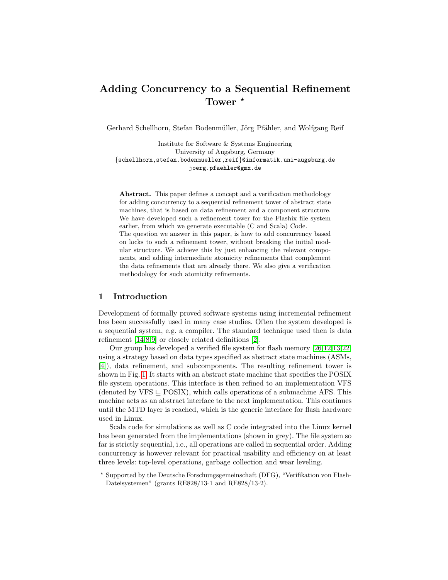# Adding Concurrency to a Sequential Refinement Tower  $*$

Gerhard Schellhorn, Stefan Bodenmüller, Jörg Pfähler, and Wolfgang Reif

Institute for Software & Systems Engineering University of Augsburg, Germany {schellhorn,stefan.bodenmueller,reif}@informatik.uni-augsburg.de joerg.pfaehler@gmx.de

Abstract. This paper defines a concept and a verification methodology for adding concurrency to a sequential refinement tower of abstract state machines, that is based on data refinement and a component structure. We have developed such a refinement tower for the Flashix file system earlier, from which we generate executable (C and Scala) Code. The question we answer in this paper, is how to add concurrency based on locks to such a refinement tower, without breaking the initial modular structure. We achieve this by just enhancing the relevant components, and adding intermediate atomicity refinements that complement the data refinements that are already there. We also give a verification methodology for such atomicity refinements.

# 1 Introduction

Development of formally proved software systems using incremental refinement has been successfully used in many case studies. Often the system developed is a sequential system, e.g. a compiler. The standard technique used then is data refinement [\[14,](#page-16-0)[8](#page-16-1)[,9\]](#page-16-2) or closely related definitions [\[2\]](#page-15-0).

Our group has developed a verified file system for flash memory [\[26,](#page-17-0)[12,](#page-16-3)[13,](#page-16-4)[22\]](#page-16-5) using a strategy based on data types specified as abstract state machines (ASMs, [\[4\]](#page-15-1)), data refinement, and subcomponents. The resulting refinement tower is shown in Fig. [1.](#page-1-0) It starts with an abstract state machine that specifies the POSIX file system operations. This interface is then refined to an implementation VFS (denoted by VFS  $\sqsubset$  POSIX), which calls operations of a submachine AFS. This machine acts as an abstract interface to the next implementation. This continues until the MTD layer is reached, which is the generic interface for flash hardware used in Linux.

Scala code for simulations as well as C code integrated into the Linux kernel has been generated from the implementations (shown in grey). The file system so far is strictly sequential, i.e., all operations are called in sequential order. Adding concurrency is however relevant for practical usability and efficiency on at least three levels: top-level operations, garbage collection and wear leveling.

<sup>?</sup> Supported by the Deutsche Forschungsgemeinschaft (DFG), "Verifikation von Flash-Dateisystemen" (grants RE828/13-1 and RE828/13-2).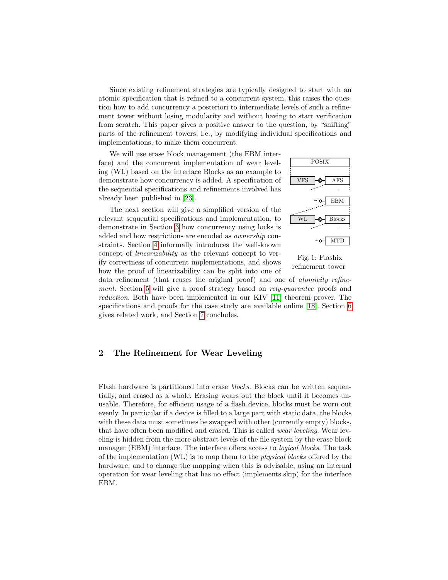Since existing refinement strategies are typically designed to start with an atomic specification that is refined to a concurrent system, this raises the question how to add concurrency a posteriori to intermediate levels of such a refinement tower without losing modularity and without having to start verification from scratch. This paper gives a positive answer to the question, by "shifting" parts of the refinement towers, i.e., by modifying individual specifications and implementations, to make them concurrent.

We will use erase block management (the EBM interface) and the concurrent implementation of wear leveling (WL) based on the interface Blocks as an example to demonstrate how concurrency is added. A specification of the sequential specifications and refinements involved has already been published in [\[23\]](#page-16-6).

The next section will give a simplified version of the relevant sequential specifications and implementation, to demonstrate in Section [3](#page-4-0) how concurrency using locks is added and how restrictions are encoded as ownership constraints. Section [4](#page-8-0) informally introduces the well-known concept of linearizability as the relevant concept to verify correctness of concurrent implementations, and shows how the proof of linearizability can be split into one of

<span id="page-1-0"></span>



data refinement (that reuses the original proof) and one of atomicity refinement. Section [5](#page-9-0) will give a proof strategy based on rely-guarantee proofs and reduction. Both have been implemented in our KIV [\[11\]](#page-16-7) theorem prover. The specifications and proofs for the case study are available online [\[18\]](#page-16-8). Section [6](#page-14-0) gives related work, and Section [7](#page-15-2) concludes.

# 2 The Refinement for Wear Leveling

Flash hardware is partitioned into erase blocks. Blocks can be written sequentially, and erased as a whole. Erasing wears out the block until it becomes unusable. Therefore, for efficient usage of a flash device, blocks must be worn out evenly. In particular if a device is filled to a large part with static data, the blocks with these data must sometimes be swapped with other (currently empty) blocks, that have often been modified and erased. This is called *wear leveling*. Wear leveling is hidden from the more abstract levels of the file system by the erase block manager (EBM) interface. The interface offers access to *logical blocks*. The task of the implementation (WL) is to map them to the physical blocks offered by the hardware, and to change the mapping when this is advisable, using an internal operation for wear leveling that has no effect (implements skip) for the interface EBM.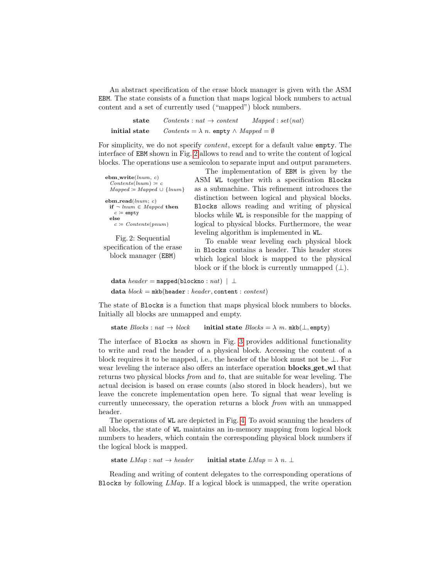An abstract specification of the erase block manager is given with the ASM EBM. The state consists of a function that maps logical block numbers to actual content and a set of currently used ("mapped") block numbers.

| state         | $Contents: nat \rightarrow content$                          | $Mapped: set\langle nat\rangle$ |
|---------------|--------------------------------------------------------------|---------------------------------|
| initial state | $Contents = \lambda n$ . empty $\wedge$ Mapped $= \emptyset$ |                                 |

For simplicity, we do not specify content, except for a default value empty. The interface of EBM shown in Fig. [2](#page-2-0) allows to read and to write the content of logical blocks. The operations use a semicolon to separate input and output parameters.

<span id="page-2-0"></span>

| $ebm.write(lnum, c)$<br>$Contents(lnum) \coloneqq c$ | A |
|------------------------------------------------------|---|
| $Mapped \coloneqq Mapped \cup \{lnum\}$              | а |
| $ebm.read(lnum; c)$                                  | d |
| if $\neg$ lnum $\in$ Mapped then                     | В |
| $c \coloneqq \text{empty}$                           | h |
| else                                                 |   |
| $c \coloneq$ Contents (pnum)                         | k |
| Fig. 2: Sequential                                   | l |
| specification of the erase                           |   |
|                                                      |   |

block manager (EBM)

The implementation of EBM is given by the ASM WL together with a specification Blocks as a submachine. This refinement introduces the distinction between logical and physical blocks. Blocks allows reading and writing of physical blocks while WL is responsible for the mapping of logical to physical blocks. Furthermore, the wear eveling algorithm is implemented in WL.

To enable wear leveling each physical block in Blocks contains a header. This header stores which logical block is mapped to the physical block or if the block is currently unmapped  $(\perp)$ .

data  $header = \texttt{mapped}(\texttt{blockno}: \textit{nat}) \mid \bot$ data  $block = mkb(header : header, content : content)$ 

The state of Blocks is a function that maps physical block numbers to blocks. Initially all blocks are unmapped and empty.

state  $\text{Blocks}: \text{nat} \rightarrow \text{block}$  initial state  $\text{Blocks} = \lambda \text{ m. mkb}(\perp, \text{empty})$ 

The interface of Blocks as shown in Fig. [3](#page-3-0) provides additional functionality to write and read the header of a physical block. Accessing the content of a block requires it to be mapped, i.e., the header of the block must not be  $\perp$ . For wear leveling the interace also offers an interface operation **blocks** get wl that returns two physical blocks from and to, that are suitable for wear leveling. The actual decision is based on erase counts (also stored in block headers), but we leave the concrete implementation open here. To signal that wear leveling is currently unnecessary, the operation returns a block from with an unmapped header.

The operations of WL are depicted in Fig. [4.](#page-4-1) To avoid scanning the headers of all blocks, the state of WL maintains an in-memory mapping from logical block numbers to headers, which contain the corresponding physical block numbers if the logical block is mapped.

state  $LMap : nat \rightarrow header$  initial state  $LMap = \lambda n$ . ⊥

Reading and writing of content delegates to the corresponding operations of Blocks by following  $LMap$ . If a logical block is unmapped, the write operation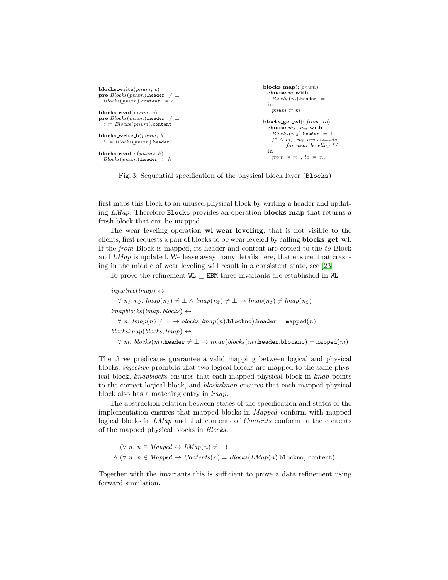```
blocks write(pnum, c)
pre \text{Blocks}(pnum).header \neq \botBlocks(num).content \coloneqq cblocks read(pnum; c)
pre \text{Blocks}(pnum).header \neq \botc \coloneqq Blocks(pnum).content
blocks_write_h(pnum, h)h \coloneqq \mathit{Blocks}(\mathit{pnum}).header
blocks read h(pnum; h)
  Blocks(num).header \coloneqq hblocks map(; pnum)
                                                                             choose \overline{m} with
                                                                               Blocks(m).header = \botin
                                                                               pnum \coloneqq mblocks_get_wl(; from, to)
                                                                             choose \sqrt{m_1},\ \overline{m_2} with
                                                                               Blocks(m_2).header = \bot/* \wedge m_1, m_2 are suitable
                                                                                     for wear leveling */
                                                                             in
                                                                               from \coloneqq m_1, to \coloneqq m_2
```
Fig. 3: Sequential specification of the physical block layer (Blocks)

first maps this block to an unused physical block by writing a header and updating LMap. Therefore Blocks provides an operation **blocks map** that returns a fresh block that can be mapped.

The wear leveling operation wl wear leveling, that is not visible to the clients, first requests a pair of blocks to be wear leveled by calling blocks get wl. If the from Block is mapped, its header and content are copied to the to Block and LMap is updated. We leave away many details here, that ensure, that crashing in the middle of wear leveling will result in a consistent state, see [\[23\]](#page-16-6).

To prove the refinement  $\texttt{WL} \subseteq \texttt{EBM}$  three invariants are established in WL.

 $injective(Imap) \leftrightarrow$  $\forall n_1, n_2$ .  $\text{Im}ap(n_1) \neq \bot \land \text{Im}ap(n_2) \neq \bot \rightarrow \text{Im}ap(n_1) \neq \text{Im}ap(n_2)$  $lmaphlocks(lmap, blocks) \leftrightarrow$  $\forall n. \; \text{lmap}(n) \neq \bot \rightarrow \text{blocks}(\text{lmap}(n).block)$ .header = mapped $(n)$  $blockslmap(blocks, lmap) \leftrightarrow$  $\forall m. blocks(m). \mathtt{header} \neq \bot \rightarrow \mathit{lmap}(blocks(m). \mathtt{header}.\mathtt{blockno}) = \mathtt{mapped}(m)$ 

The three predicates guarantee a valid mapping between logical and physical blocks. injective prohibits that two logical blocks are mapped to the same physical block, lmapblocks ensures that each mapped physical block in lmap points to the correct logical block, and blockslmap ensures that each mapped physical block also has a matching entry in lmap.

The abstraction relation between states of the specification and states of the implementation ensures that mapped blocks in Mapped conform with mapped logical blocks in LMap and that contents of Contents conform to the contents of the mapped physical blocks in Blocks.

```
(\forall n. n \in Mapped \leftrightarrow LMap(n) \neq \bot)\wedge (\forall n. n \in Mapped \rightarrow Contents(n) = Blocks(LMap(n).blocko).content)
```
Together with the invariants this is sufficient to prove a data refinement using forward simulation.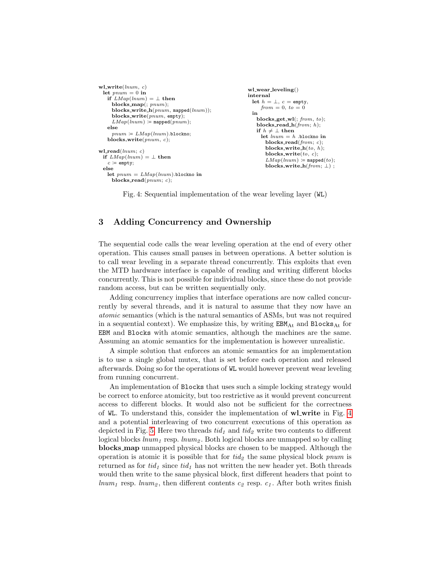```
wl.write(num, c)let pnum = 0 in
   if LMap(lnum) = \perp then
     blocks_map(; pnum);blocks_write_h(pnum, mapped(lnum));
     blocks write(pnum, empty);
     LMap(lnum) \coloneqq mapped(pnum);else
    pnum \coloneqq LMap(lnum).blockno;
   blocks_write(pnum, c);
wl\_read(lnum; c)if LMap(lnum) = \perp then
   c \coloneqq \text{empty};else
   let pnum = LMap(lnum).blockno in
    blocks read(nnum; c);
                                                          wl_wear_leveling()
                                                          internal
                                                            let h = \perp, c = \text{empty}from = 0, to = 0in
                                                              blocks_get_wl(; from, to);
                                                              blocks read h(from; h);
                                                              if h \neq \perp then
                                                                let lnum = h.blockno in
                                                                 blocks_read(from; c);blocks_write_h(to, h);blocks_write(to, c);LMap(lnum) \coloneqq mapped(to);
                                                                 blocks_write_h(from; \perp);
```
Fig. 4: Sequential implementation of the wear leveling layer (WL)

# <span id="page-4-0"></span>3 Adding Concurrency and Ownership

The sequential code calls the wear leveling operation at the end of every other operation. This causes small pauses in between operations. A better solution is to call wear leveling in a separate thread concurrently. This exploits that even the MTD hardware interface is capable of reading and writing different blocks concurrently. This is not possible for individual blocks, since these do not provide random access, but can be written sequentially only.

Adding concurrency implies that interface operations are now called concurrently by several threads, and it is natural to assume that they now have an atomic semantics (which is the natural semantics of ASMs, but was not required in a sequential context). We emphasize this, by writing  $EBM_{\text{At}}$  and  $Blocks_{\text{At}}$  for EBM and Blocks with atomic semantics, although the machines are the same. Assuming an atomic semantics for the implementation is however unrealistic.

A simple solution that enforces an atomic semantics for an implementation is to use a single global mutex, that is set before each operation and released afterwards. Doing so for the operations of WL would however prevent wear leveling from running concurrent.

An implementation of Blocks that uses such a simple locking strategy would be correct to enforce atomicity, but too restrictive as it would prevent concurrent access to different blocks. It would also not be sufficient for the correctness of WL. To understand this, consider the implementation of wl write in Fig. [4](#page-4-1) and a potential interleaving of two concurrent executions of this operation as depicted in Fig. [5.](#page-5-0) Here two threads  $tid_1$  and  $tid_2$  write two contents to different logical blocks  $lnum_1$  resp.  $lnum_2$ . Both logical blocks are unmapped so by calling blocks map unmapped physical blocks are chosen to be mapped. Although the operation is atomic it is possible that for  $tid_2$  the same physical block pnum is returned as for  $tid_1$  since  $tid_1$  has not written the new header yet. Both threads would then write to the same physical block, first different headers that point to  $lnum_1$  resp.  $lnum_2$ , then different contents  $c_2$  resp.  $c_1$ . After both writes finish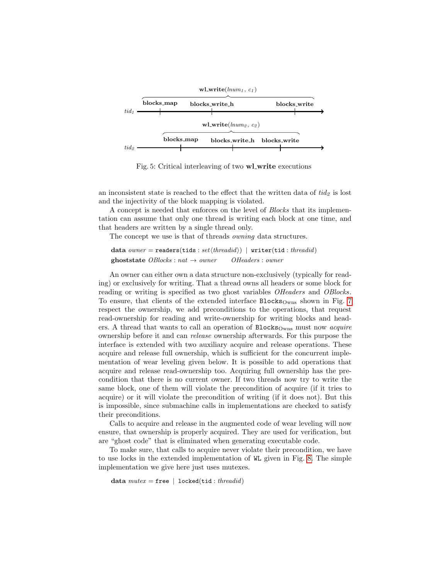<span id="page-5-0"></span>

Fig. 5: Critical interleaving of two **wl\_write** executions

an inconsistent state is reached to the effect that the written data of  $tid<sub>2</sub>$  is lost and the injectivity of the block mapping is violated.

A concept is needed that enforces on the level of Blocks that its implementation can assume that only one thread is writing each block at one time, and that headers are written by a single thread only.

The concept we use is that of threads owning data structures.

data owner = readers(tids:  $set{threshold}$ ) | writer(tid: threadid) **ghoststate**  $OBlocks : nat \rightarrow owner$   $OHeaders : owner$ 

An owner can either own a data structure non-exclusively (typically for reading) or exclusively for writing. That a thread owns all headers or some block for reading or writing is specified as two ghost variables *OHeaders* and *OBlocks*. To ensure, that clients of the extended interface  $\text{Blocks}_{\text{Owns}}$  shown in Fig. [7](#page-6-0) respect the ownership, we add preconditions to the operations, that request read-ownership for reading and write-ownership for writing blocks and headers. A thread that wants to call an operation of  $\text{Blocks}_{\text{Owns}}$  must now *acquire* ownership before it and can release ownership afterwards. For this purpose the interface is extended with two auxiliary acquire and release operations. These acquire and release full ownership, which is sufficient for the concurrent implementation of wear leveling given below. It is possible to add operations that acquire and release read-ownership too. Acquiring full ownership has the precondition that there is no current owner. If two threads now try to write the same block, one of them will violate the precondition of acquire (if it tries to acquire) or it will violate the precondition of writing (if it does not). But this is impossible, since submachine calls in implementations are checked to satisfy their preconditions.

Calls to acquire and release in the augmented code of wear leveling will now ensure, that ownership is properly acquired. They are used for verification, but are "ghost code" that is eliminated when generating executable code.

To make sure, that calls to acquire never violate their precondition, we have to use locks in the extended implementation of WL given in Fig. [8.](#page-7-0) The simple implementation we give here just uses mutexes.

data  $mutex = \texttt{free}$  | locked(tid: threadid)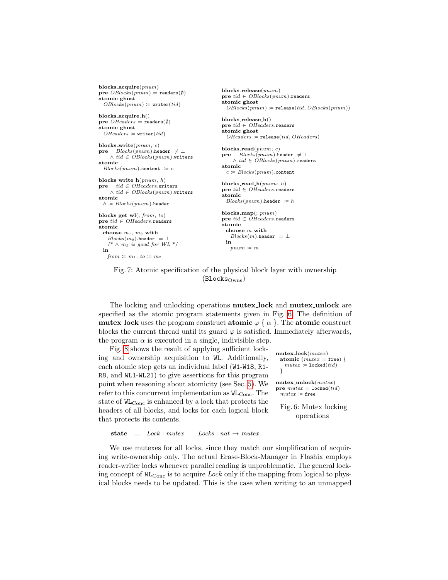```
blocks acquire(pnum)
pre OBlocks(pnum) = \texttt{readers}(\emptyset)atomic ghost
 OBlocks(pnum) \coloneqq \texttt{writer}(tid)blocks acquire h()
pre OHeaders = readers(\emptyset)atomic ghost
  OHeaders = writer(tid)
blocks write(pnum, c)
pre Blocks(pnum).header \neq \perp∧ tid ∈ O\overline{B}locks(pnum).writers
atomic
 Blocks(pnum).content \equiv cblocks_write_h(pnum, h)\mathbf{pre} \text{tid} \in \widehat{OHeaders}.writers
    \land tid \in OBlocks(pnum).writers
atomic
 h \coloneqq Blocks(num).header
blocks_get_wl(; from, to)
\mathbf{pre}\ \mathit{tid} \in \mathit{OHeaders}. readers
atomic
 choose m_1, m_2 with
   \mathit{Blocks}(m_2).header = \bot/\hspace{-.15cm}{}^*\wedge m_1 is good for WL ^*/in
   from \coloneqq m_1, to \coloneqq m_2blocks release(pnum)
                                                     pre tid \in OBlocks(pnum). readers
                                                     atomic ghost
                                                       OBlocks(pnum) \coloneqq \mathtt{release}(tid, OBlocks(pnum))blocks release h()
                                                     pre tid ∈ OHeaders.readers
                                                     atomic ghost
                                                       OHeaders = \texttt{release}(tid, OHeaders)blocks read(pnum; c)
                                                     pre Blocks(pnum).header \neq \bot\land tid \in OBlocks(pnum).readers
                                                     atomic
                                                       c \coloneqq Blocks(pnum).content
                                                     blocks_read_h(pnum; h)
                                                     pre tid ∈ OHeaders.readers
                                                     atomic
                                                       Blocks(pnum).header \coloneqq hblocks map(; pnum)
                                                     pre tid \in \widehat{OHeaders}.readers
                                                     atomic
                                                       choose m with
                                                         Blocks(m).header = \botin
                                                         pnum \coloneqq m
```
Fig. 7: Atomic specification of the physical block layer with ownership  $(Blocks_{Owns})$ 

The locking and unlocking operations mutex lock and mutex unlock are specified as the atomic program statements given in Fig. [6.](#page-6-1) The definition of mutex lock uses the program construct atomic  $\varphi \{ \alpha \}$ . The atomic construct blocks the current thread until its guard  $\varphi$  is satisfied. Immediately afterwards, the program  $\alpha$  is executed in a single, indivisible step.

Fig. [8](#page-7-0) shows the result of applying sufficient locking and ownership acquisition to WL. Additionally, each atomic step gets an individual label (W1-W18, R1- R8, and WL1-WL21) to give assertions for this program point when reasoning about atomicity (see Sec. [5\)](#page-9-0). We refer to this concurrent implementation as  $W_{\text{Conc}}$ . The state of  $W_{\text{Cone}}$  is enhanced by a lock that protects the headers of all blocks, and locks for each logical block that protects its contents.

```
mutex lock(mutex)
 atomic (mutex = free) {
   mutex \coloneqq \mathtt{locked}(\mathit{tid})}
mutex\_unlock(mutex)pre mutex = \text{locked}(tid)mutex \coloneqq \mathbf{free}Fig. 6: Mutex locking
```
operations

```
state ... Lock : mutex \tLocks : nat \rightarrow mutex
```
We use mutexes for all locks, since they match our simplification of acquiring write-ownership only. The actual Erase-Block-Manager in Flashix employs reader-writer locks whenever parallel reading is unproblematic. The general locking concept of  $W_{\text{Conc}}$  is to acquire *Lock* only if the mapping from logical to physical blocks needs to be updated. This is the case when writing to an unmapped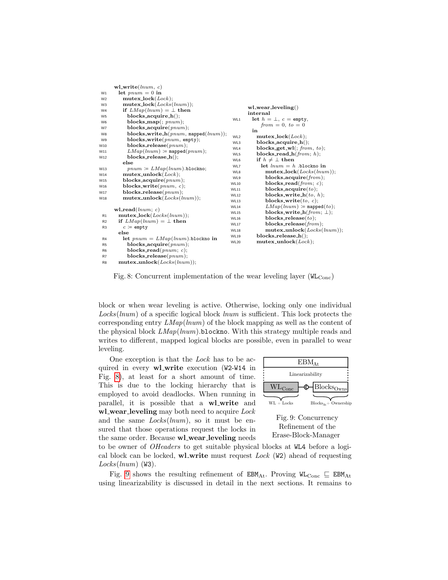<span id="page-7-0"></span>

|                | ${\bf w}$ l_write(lnum, c)                     |                            |                                                                 |
|----------------|------------------------------------------------|----------------------------|-----------------------------------------------------------------|
| W1             | let $pnum = 0$ in                              |                            |                                                                 |
| W <sub>2</sub> | $mutex\_lock(Lock);$                           |                            |                                                                 |
| W <sub>3</sub> | $mutex\_lock(Locks(lnum));$                    |                            | $wl$ -wear-leveling()                                           |
| W <sub>4</sub> | if $LMap(lnum) = \perp$ then                   |                            | internal                                                        |
| W <sub>5</sub> | $blocks \_\nacquire \_\nh(\cdot);$             |                            | let $h = \perp$ , $c =$ empty,                                  |
| W <sub>6</sub> | $blocks\_map(:, \text{pnum});$                 | WL1                        | $from = 0, to = 0$                                              |
| W7             | blocks_acquire $(pnum)$ ;                      |                            | in                                                              |
| W <sub>8</sub> | blocks_write_h( $pnum$ , mapped( $lnum$ ));    | WL <sub>2</sub>            | $mutex\_lock(Lock);$                                            |
| W9             | $blocks{\text{-}write}(pnum, \texttt{empty});$ |                            |                                                                 |
| W10            | blocks_release( $pnum$ );                      | WL3                        | $blocks \_\naequire \_\nh()$ ;<br>blocks_get_wl(; $from, to$ ); |
| W11            | $LMap(lnum) \coloneqq$ mapped $(pnum)$ ;       | WL4                        |                                                                 |
| W12            | $blocks$ -release_h();                         | WL5<br>WL6                 | blocks_read_h( $from; h$ );<br>if $h \neq \perp$ then           |
|                | else                                           | WL7                        | let $lnum = h$ .blockno in                                      |
| W13            | $pnum \coloneqq LMap(lnum)$ .blockno;          |                            | $mutex\_lock(Locks(lnum));$                                     |
| W14            | $mutex\_unlock(Lock);$                         | WL8<br>WL9                 | blocks_acquire $(from);$                                        |
| W15            | blocks_acquire $(pnum)$ ;                      |                            | blocks_read( $from; c);$                                        |
| W16            | blocks_write( $pnum, c$ );                     | <b>WL10</b>                | blocks_acquire $(to);$                                          |
| W17            | $blocks_{release(pnum)};$                      | WL11                       |                                                                 |
| W18            | $mutex\_unlock(Locks(lnum));$                  | <b>WL12</b>                | blocks_write_ $h(to, h);$                                       |
|                |                                                | <b>WL13</b>                | blocks_write $(to, c);$                                         |
|                | ${\bf w}$ l_read $(\textit{lnum}; c)$          | <b>WL14</b>                | $LMap(lnum) \coloneqq$ mapped(to);                              |
| R1             | $mutex\_lock(Locks(lnum));$                    | <b>WL15</b>                | blocks_write_h(from; $\perp$ );<br>blocks_release $(to);$       |
| R2             | if $LMap(lnum) = \perp$ then                   | <b>WL16</b>                | blocks_release( $from$ );                                       |
| R <sub>3</sub> | $c \coloneqq \text{empty}$                     | <b>WL17</b>                |                                                                 |
|                | else                                           | <b>WL18</b><br><b>WL19</b> | $mutex\_unlock(Locks(lnum));$<br>$blocks$ .release_h();         |
| R <sub>4</sub> | let $pnum = LMap(lnum)$ .blockno in            |                            |                                                                 |
| R <sub>5</sub> | blocks_acquire $(pnum)$ ;                      | <b>WL20</b>                | $mutex\_unlock(Lock);$                                          |
| R <sub>6</sub> | blocks_read( $pnum; c$ );                      |                            |                                                                 |
| R7             | blocks_release( $pnum$ );                      |                            |                                                                 |
| R8             | $mutex\_unlock(Locks(lnum));$                  |                            |                                                                 |

Fig. 8: Concurrent implementation of the wear leveling layer  $(W_{\text{Conc}})$ 

block or when wear leveling is active. Otherwise, locking only one individual Locks(lnum) of a specific logical block lnum is sufficient. This lock protects the corresponding entry  $LMap(lnum)$  of the block mapping as well as the content of the physical block  $LMap(lnum)$ . blockno. With this strategy multiple reads and writes to different, mapped logical blocks are possible, even in parallel to wear leveling.

One exception is that the Lock has to be acquired in every **wl\_write** execution (W2-W14 in Fig. [8\)](#page-7-0), at least for a short amount of time. This is due to the locking hierarchy that is employed to avoid deadlocks. When running in parallel, it is possible that a wl\_write and wl\_wear\_leveling may both need to acquire Lock and the same  $Locks(lnum)$ , so it must be ensured that those operations request the locks in the same order. Because wl\_wear\_leveling needs

<span id="page-7-1"></span>

Refinement of the Erase-Block-Manager

to be owner of OHeaders to get suitable physical blocks at WL4 before a logical block can be locked, wl\_write must request  $Lock$  (W2) ahead of requesting  $Locks(lnum)$  (W3).

Fig. [9](#page-7-1) shows the resulting refinement of  $\texttt{EBM}_{\text{At}}$ . Proving  $\texttt{WL}_{\text{Conc}} \sqsubseteq \texttt{EBM}_{\text{At}}$ using linearizability is discussed in detail in the next sections. It remains to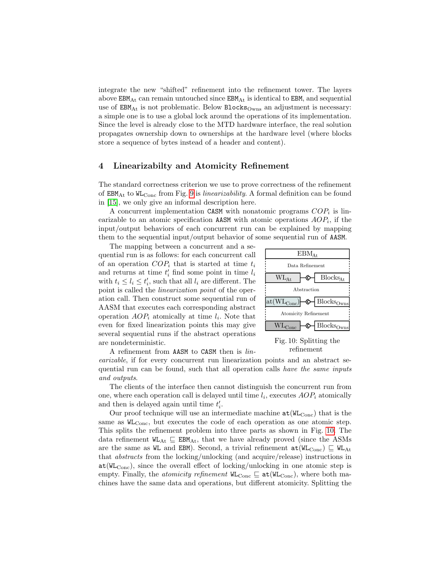integrate the new "shifted" refinement into the refinement tower. The layers above  $EBM_{\text{At}}$  can remain untouched since  $EBM_{\text{At}}$  is identical to  $EBM$ , and sequential use of  $EBM_{\text{At}}$  is not problematic. Below  $Blocks_{\text{Owns}}$  an adjustment is necessary: a simple one is to use a global lock around the operations of its implementation. Since the level is already close to the MTD hardware interface, the real solution propagates ownership down to ownerships at the hardware level (where blocks store a sequence of bytes instead of a header and content).

# <span id="page-8-0"></span>4 Linearizabilty and Atomicity Refinement

The standard correctness criterion we use to prove correctness of the refinement of EBMAt to WLConc from Fig. [9](#page-7-1) is linearizability. A formal definition can be found in [\[15\]](#page-16-9), we only give an informal description here.

A concurrent implementation CASM with nonatomic programs  $COP_i$  is linearizable to an atomic specification AASM with atomic operations  $AOP_i$ , if the input/output behaviors of each concurrent run can be explained by mapping them to the sequential input/output behavior of some sequential run of AASM.

is started at time  $l_i$  bata Refinement<br>
Some point in time  $l_i$ <br>  $\begin{array}{c}\n\text{Data Refinement} \\
\text{I} \ l_i \text{ are different. The}\n\end{array}$ <br>
Some point of the oper-<br>  $\begin{array}{c}\n\text{WL}_{\text{At}} \rightarrow \text{C} \\
\hline\n\end{array}$ The mapping between a concurrent and a sequential run is as follows: for each concurrent call of an operation  $COP_i$  that is started at time  $t_i$ and returns at time  $t_i'$  find some point in time  $l_i$ with  $t_i \leq l_i \leq t'_i$ , such that all  $l_i$  are different. The point is called the linearization point of the operation call. Then construct some sequential run of AASM that executes each corresponding abstract operation  $AOP_i$  atomically at time  $l_i$ . Note that even for fixed linearization points this may give several sequential runs if the abstract operations are nondeterministic.

<span id="page-8-1"></span>

Fig. 10: Splitting the refinement

A refinement from AASM to CASM then is linearizable, if for every concurrent run linearization points and an abstract sequential run can be found, such that all operation calls have the same inputs and outputs.

The clients of the interface then cannot distinguish the concurrent run from one, where each operation call is delayed until time  $l_i$ , executes  $AOP_i$  atomically and then is delayed again until time  $t_i'$ .

in this may give<br>  $l_i$ . Note that<br>
it this may give<br>
fract operations<br>
Fig. 10: Splitting<br>
Fig. 10: Splitting<br>
Fig. 10: Splitting<br>
refinement<br>
run linearization points and an abstrant<br>
and an abstrant<br>
intermediate machin Our proof technique will use an intermediate machine  $at(W_{Conc})$  that is the same as  $W_{\text{Cone}}$ , but executes the code of each operation as one atomic step. This splits the refinement problem into three parts as shown in Fig. [10.](#page-8-1) The data refinement  $\texttt{WL}_{\text{At}} \subseteq \texttt{EBM}_{\text{At}}$ , that we have already proved (since the ASMs are the same as WL and EBM). Second, a trivial refinement  $at(W_{\text{Cone}}) \subseteq W_{\text{Aut}}$ that abstracts from the locking/unlocking (and acquire/release) instructions in  $at(WL_{Cone})$ , since the overall effect of locking/unlocking in one atomic step is empty. Finally, the *atomicity refinement*  $W_{\text{Conc}} \subseteq \text{at}(W_{\text{Conc}})$ , where both machines have the same data and operations, but different atomicity. Splitting the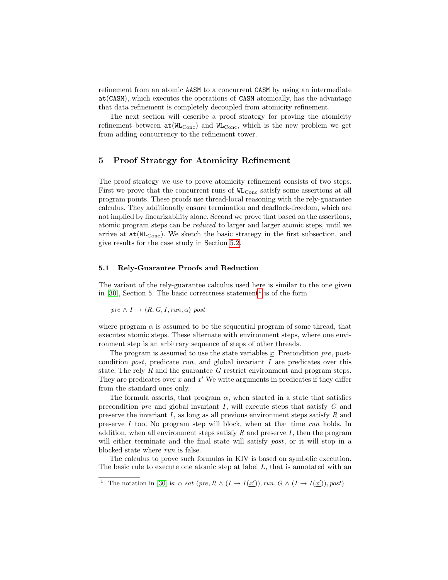refinement from an atomic AASM to a concurrent CASM by using an intermediate at(CASM), which executes the operations of CASM atomically, has the advantage that data refinement is completely decoupled from atomicity refinement.

The next section will describe a proof strategy for proving the atomicity refinement between  $at(W_{Conc})$  and  $W_{Conc}$ , which is the new problem we get from adding concurrency to the refinement tower.

# <span id="page-9-0"></span>5 Proof Strategy for Atomicity Refinement

The proof strategy we use to prove atomicity refinement consists of two steps. First we prove that the concurrent runs of  $W_{\text{Cone}}$  satisfy some assertions at all program points. These proofs use thread-local reasoning with the rely-guarantee calculus. They additionally ensure termination and deadlock-freedom, which are not implied by linearizability alone. Second we prove that based on the assertions, atomic program steps can be reduced to larger and larger atomic steps, until we arrive at  $at(WL_{Conc})$ . We sketch the basic strategy in the first subsection, and give results for the case study in Section [5.2.](#page-12-0)

#### 5.1 Rely-Guarantee Proofs and Reduction

The variant of the rely-guarantee calculus used here is similar to the one given in [\[30\]](#page-17-1), Section 5. The basic correctness statement<sup>[1](#page-9-1)</sup> is of the form

pre  $\land I \rightarrow \langle R, G, I, run, \alpha \rangle$  post

where program  $\alpha$  is assumed to be the sequential program of some thread, that executes atomic steps. These alternate with environment steps, where one environment step is an arbitrary sequence of steps of other threads.

The program is assumed to use the state variables  $x$ . Precondition  $pre$ , postcondition *post*, predicate  $run$ , and global invariant  $I$  are predicates over this state. The rely  $R$  and the guarantee  $G$  restrict environment and program steps. They are predicates over  $\underline{x}$  and  $\underline{x}'$ . We write arguments in predicates if they differ from the standard ones only.

The formula asserts, that program  $\alpha$ , when started in a state that satisfies precondition  $pre$  and global invariant  $I$ , will execute steps that satisfy  $G$  and preserve the invariant  $I$ , as long as all previous environment steps satisfy  $R$  and preserve I too. No program step will block, when at that time run holds. In addition, when all environment steps satisfy  $R$  and preserve  $I$ , then the program will either terminate and the final state will satisfy *post*, or it will stop in a blocked state where run is false.

The calculus to prove such formulas in KIV is based on symbolic execution. The basic rule to execute one atomic step at label  $L$ , that is annotated with an

<span id="page-9-1"></span><sup>&</sup>lt;sup>1</sup> The notation in [\[30\]](#page-17-1) is:  $\alpha$  sat (pre,  $R \wedge (I \rightarrow I(\underline{x}'))$ , run,  $G \wedge (I \rightarrow I(\underline{x}'))$ , post)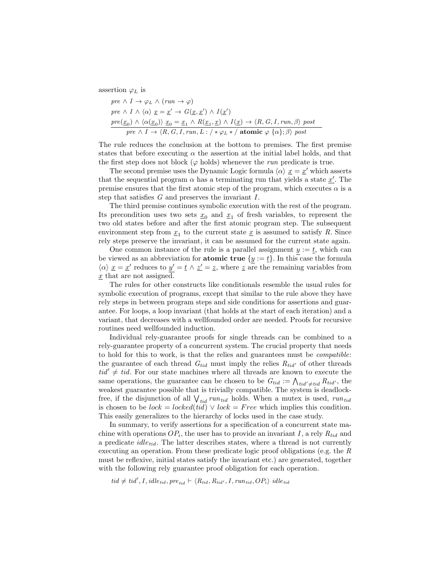assertion  $\varphi_L$  is

$$
pre \wedge I \rightarrow \varphi_L \wedge (run \rightarrow \varphi)
$$
  
\n
$$
pre \wedge I \wedge \langle \alpha \rangle \underline{x} = \underline{x}' \rightarrow G(\underline{x}, \underline{x}') \wedge I(\underline{x}')
$$
  
\n
$$
pre(\underline{x_0}) \wedge \langle \alpha(\underline{x_0}) \rangle \underline{x_0} = \underline{x_1} \wedge R(\underline{x_1}, \underline{x}) \wedge I(\underline{x}) \rightarrow \langle R, G, I, run, \beta \rangle post
$$
  
\n
$$
pre \wedge I \rightarrow \langle R, G, I, run, L : \rangle * \varphi_L * \rangle \text{ atomic } \varphi \{\alpha\}; \beta \rangle post
$$

The rule reduces the conclusion at the bottom to premises. The first premise states that before executing  $\alpha$  the assertion at the initial label holds, and that the first step does not block ( $\varphi$  holds) whenever the *run* predicate is true.

The second premise uses the Dynamic Logic formula  $\langle \alpha \rangle \underline{x} = \underline{x}'$  which asserts that the sequential program  $\alpha$  has a terminating run that yields a state  $\underline{x}^{\prime}$ . The premise ensures that the first atomic step of the program, which executes  $\alpha$  is a step that satisfies  $G$  and preserves the invariant  $I$ .

The third premise continues symbolic execution with the rest of the program. Its precondition uses two sets  $\underline{x}_0$  and  $\underline{x}_1$  of fresh variables, to represent the two old states before and after the first atomic program step. The subsequent environment step from  $\underline{x}_1$  to the current state  $\underline{x}$  is assumed to satisfy R. Since rely steps preserve the invariant, it can be assumed for the current state again.

One common instance of the rule is a parallel assignment  $y := t$ , which can be viewed as an abbreviation for **atomic true**  $\{y := \underline{t}\}\$ . In this case the formula  $\langle \alpha \rangle \underline{x} = \underline{x}'$  reduces to  $y' = \underline{t} \wedge \underline{z}' = \underline{z}$ , where  $\underline{z}$  are the remaining variables from  $\underline{x}$  that are not assigned.

The rules for other constructs like conditionals resemble the usual rules for symbolic execution of programs, except that similar to the rule above they have rely steps in between program steps and side conditions for assertions and guarantee. For loops, a loop invariant (that holds at the start of each iteration) and a variant, that decreases with a wellfounded order are needed. Proofs for recursive routines need wellfounded induction.

Individual rely-guarantee proofs for single threads can be combined to a rely-guarantee property of a concurrent system. The crucial property that needs to hold for this to work, is that the relies and guarantees must be compatible: the guarantee of each thread  $G_{tid}$  must imply the relies  $R_{tid}$  of other threads  $tid' \neq tid$ . For our state machines where all threads are known to execute the same operations, the guarantee can be chosen to be  $G_{tid} := \bigwedge_{tid' \neq tid} R_{tid'}$ , the weakest guarantee possible that is trivially compatible. The system is deadlockfree, if the disjunction of all  $\bigvee_{tid} run_{tid}$  holds. When a mutex is used,  $run_{tid}$ is chosen to be  $lock = locked(tid) \vee lock = Free$  which implies this condition. This easily generalizes to the hierarchy of locks used in the case study.

In summary, to verify assertions for a specification of a concurrent state machine with operations  $OP_i$ , the user has to provide an invariant I, a rely  $R_{tid}$  and a predicate  $idle_{tid}$ . The latter describes states, where a thread is not currently executing an operation. From these predicate logic proof obligations (e.g. the R must be reflexive, initial states satisfy the invariant etc.) are generated, together with the following rely guarantee proof obligation for each operation.

 $tid \neq tid', I, idle_{tid}, pre_{tid} \vdash \langle R_{tid}, R_{tid'}, I, run_{tid}, OP_i \rangle$  idletid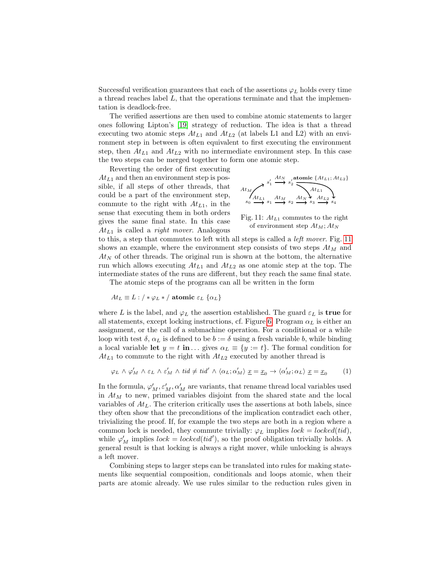Successful verification guarantees that each of the assertions  $\varphi_L$  holds every time a thread reaches label  $L$ , that the operations terminate and that the implementation is deadlock-free.

The verified assertions are then used to combine atomic statements to larger ones following Lipton's [\[19\]](#page-16-10) strategy of reduction. The idea is that a thread executing two atomic steps  $At_{L1}$  and  $At_{L2}$  (at labels L1 and L2) with an environment step in between is often equivalent to first executing the environment step, then  $At_{L1}$  and  $At_{L2}$  with no intermediate environment step. In this case the two steps can be merged together to form one atomic step.

Reverting the order of first executing  $At_{L1}$  and then an environment step is possible, if all steps of other threads, that could be a part of the environment step, commute to the right with  $At_{L1}$ , in the sense that executing them in both orders gives the same final state. In this case  $At_{L1}$  is called a *right mover*. Analogous

<span id="page-11-0"></span>
$$
At_{M}\overbrace{\left\langle A t_{L1} \atop s_{0} \right\rangle}^{s_{1}'} \xrightarrow{s_{2}'} s_{2}' \overbrace{\left\langle A t_{L1} \atop \sum A t_{L2} \right\rangle}^{At_{L1}} \overbrace{\left\langle A t_{L1} \atop A t_{L2} \right\rangle}^{At_{L2}}_{s_{0}} \xrightarrow{s_{1}} s_{1} \xrightarrow{s_{2}} s_{2} \xrightarrow{s_{3}} s_{3} \xrightarrow{s_{4}}
$$

<span id="page-11-1"></span>Fig. 11: 
$$
At_{L1}
$$
 commutes to the right of environment step  $At_M$ ;  $At_N$ 

to this, a step that commutes to left with all steps is called a left mover. Fig. [11](#page-11-0) shows an example, where the environment step consists of two steps  $At_M$  and  $At_N$  of other threads. The original run is shown at the bottom, the alternative run which allows executing  $At_{L1}$  and  $At_{L2}$  as one atomic step at the top. The intermediate states of the runs are different, but they reach the same final state.

The atomic steps of the programs can all be written in the form

$$
At_L \equiv L : / * \varphi_L * / \text{atomic } \varepsilon_L \text{ } \{\alpha_L\}
$$

where L is the label, and  $\varphi_L$  the assertion established. The guard  $\varepsilon_L$  is **true** for all statements, except locking instructions, cf. Figure [6.](#page-6-1) Program  $\alpha_L$  is either an assignment, or the call of a submachine operation. For a conditional or a while loop with test  $\delta$ ,  $\alpha_L$  is defined to be  $b := \delta$  using a fresh variable b, while binding a local variable let  $y = t$  in ... gives  $\alpha_L \equiv \{y := t\}$ . The formal condition for  $At_{L1}$  to commute to the right with  $At_{L2}$  executed by another thread is

$$
\varphi_L \wedge \varphi'_M \wedge \varepsilon_L \wedge \varepsilon'_M \wedge tid \neq tid' \wedge \langle \alpha_L; \alpha'_M \rangle \underline{x} = \underline{x}_0 \rightarrow \langle \alpha'_M; \alpha_L \rangle \underline{x} = \underline{x}_0 \tag{1}
$$

In the formula,  $\varphi'_M, \varepsilon'_M, \alpha'_M$  are variants, that rename thread local variables used in  $At_M$  to new, primed variables disjoint from the shared state and the local variables of  $At_L$ . The criterion critically uses the assertions at both labels, since they often show that the preconditions of the implication contradict each other, trivializing the proof. If, for example the two steps are both in a region where a common lock is needed, they commute trivially:  $\varphi_L$  implies  $lock = locked(tid)$ , while  $\varphi'_M$  implies  $lock = locked(tid')$ , so the proof obligation trivially holds. A general result is that locking is always a right mover, while unlocking is always a left mover.

Combining steps to larger steps can be translated into rules for making statements like sequential composition, conditionals and loops atomic, when their parts are atomic already. We use rules similar to the reduction rules given in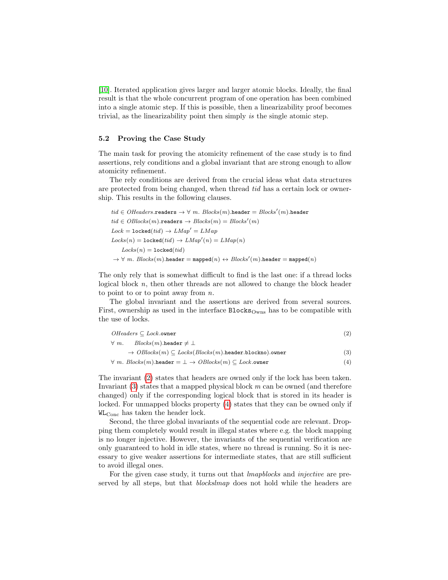[\[10\]](#page-16-11). Iterated application gives larger and larger atomic blocks. Ideally, the final result is that the whole concurrent program of one operation has been combined into a single atomic step. If this is possible, then a linearizability proof becomes trivial, as the linearizability point then simply is the single atomic step.

#### <span id="page-12-0"></span>5.2 Proving the Case Study

The main task for proving the atomicity refinement of the case study is to find assertions, rely conditions and a global invariant that are strong enough to allow atomicity refinement.

The rely conditions are derived from the crucial ideas what data structures are protected from being changed, when thread tid has a certain lock or ownership. This results in the following clauses.

$$
\begin{aligned} \textit{tid} \in OHeaders.\texttt{readers} &\rightarrow \forall \ m. \textit{ Blocks}(m).\texttt{header} = \textit{Blocks}'(m).\texttt{header} \\ \textit{tid} \in OBlocks(m).\texttt{readers} &\rightarrow \textit{Blocks}(m) = \textit{Blocks}'(m) \\ \textit{Lock} = \textit{locked}(\textit{tid}) &\rightarrow \textit{LMap}' = \textit{LMap}(n) \\ \textit{Locks}(n) = \textit{locked}(\textit{tid}) &\rightarrow \textit{LMap}'(n) = \textit{LMap}(n) \\ \textit{Locks}(n) = \textit{locked}(\textit{tid}) \\ &\rightarrow \forall \ m. \textit{ Blocks}(m).\texttt{header} = \texttt{mapped}(n) \leftrightarrow \textit{Blocks}'(m).\texttt{header} = \texttt{mapped}(n) \end{aligned}
$$

The only rely that is somewhat difficult to find is the last one: if a thread locks logical block n, then other threads are not allowed to change the block header to point to or to point away from  $n$ .

The global invariant and the assertions are derived from several sources. First, ownership as used in the interface  $\text{Blocks}_{\text{Owns}}$  has to be compatible with the use of locks.

<span id="page-12-3"></span><span id="page-12-2"></span><span id="page-12-1"></span>

| $OHeaders \subseteq Lock$ .owner                                                       |     |
|----------------------------------------------------------------------------------------|-----|
| $Blocks(m).$ header $\neq \bot$<br>$\forall m.$                                        |     |
| $\rightarrow$ OBlocks(m) $\subset$ Locks(Blocks(m).header.blockno).owner               | (3) |
| $\forall m. \ Blocks(m).$ header = $\bot \rightarrow OBlocks(m) \subseteq Lock$ .owner | (4) |

The invariant [\(2\)](#page-12-1) states that headers are owned only if the lock has been taken. Invariant  $(3)$  states that a mapped physical block m can be owned (and therefore changed) only if the corresponding logical block that is stored in its header is locked. For unmapped blocks property [\(4\)](#page-12-3) states that they can be owned only if WLConc has taken the header lock.

Second, the three global invariants of the sequential code are relevant. Dropping them completely would result in illegal states where e.g. the block mapping is no longer injective. However, the invariants of the sequential verification are only guaranteed to hold in idle states, where no thread is running. So it is necessary to give weaker assertions for intermediate states, that are still sufficient to avoid illegal ones.

For the given case study, it turns out that *lmapblocks* and *injective* are preserved by all steps, but that *blockslmap* does not hold while the headers are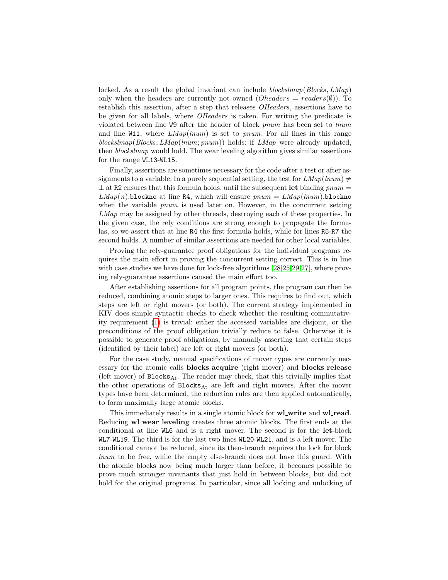locked. As a result the global invariant can include blockslmap(Blocks,  $LMap$ ) only when the headers are currently not owned ( $Oheads = readers(\emptyset)$ ). To establish this assertion, after a step that releases *OHeaders*, assertions have to be given for all labels, where OHeaders is taken. For writing the predicate is violated between line W9 after the header of block pnum has been set to lnum and line W11, where  $LMap(lnum)$  is set to pnum. For all lines in this range blockslmap(Blocks,  $LMap(lnum; pnum)$ ) holds: if  $LMap$  were already updated, then blockslmap would hold. The wear leveling algorithm gives similar assertions for the range WL13-WL15.

Finally, assertions are sometimes necessary for the code after a test or after assignments to a variable. In a purely sequential setting, the test for  $LMap(lnum) \neq$  $\perp$  at R2 ensures that this formula holds, until the subsequent let binding pnum =  $LMap(n)$ .blockno at line R4, which will ensure  $pnum = LMap(lnum)$ .blockno when the variable *pnum* is used later on. However, in the concurrent setting LMap may be assigned by other threads, destroying each of these properties. In the given case, the rely conditions are strong enough to propagate the formulas, so we assert that at line R4 the first formula holds, while for lines R5-R7 the second holds. A number of similar assertions are needed for other local variables.

Proving the rely-guarantee proof obligations for the individual programs requires the main effort in proving the concurrent setting correct. This is in line with case studies we have done for lock-free algorithms [\[28,](#page-17-2)[25,](#page-16-12)[29,](#page-17-3)[27\]](#page-17-4), where proving rely-guarantee assertions caused the main effort too.

After establishing assertions for all program points, the program can then be reduced, combining atomic steps to larger ones. This requires to find out, which steps are left or right movers (or both). The current strategy implemented in KIV does simple syntactic checks to check whether the resulting commutativity requirement [\(1\)](#page-11-1) is trivial: either the accessed variables are disjoint, or the preconditions of the proof obligation trivially reduce to false. Otherwise it is possible to generate proof obligations, by manually asserting that certain steps (identified by their label) are left or right movers (or both).

For the case study, manual specifications of mover types are currently necessary for the atomic calls blocks acquire (right mover) and blocks release (left mover) of  $\texttt{blocks}_{\text{At}}$ . The reader may check, that this trivially implies that the other operations of  $\texttt{blocks}_{\text{At}}$  are left and right movers. After the mover types have been determined, the reduction rules are then applied automatically, to form maximally large atomic blocks.

This immediately results in a single atomic block for **wl\_write** and **wl\_read**. Reducing **wl\_wear\_leveling** creates three atomic blocks. The first ends at the conditional at line WL6 and is a right mover. The second is for the let-block WL7-WL19. The third is for the last two lines WL20-WL21, and is a left mover. The conditional cannot be reduced, since its then-branch requires the lock for block lnum to be free, while the empty else-branch does not have this guard. With the atomic blocks now being much larger than before, it becomes possible to prove much stronger invariants that just hold in between blocks, but did not hold for the original programs. In particular, since all locking and unlocking of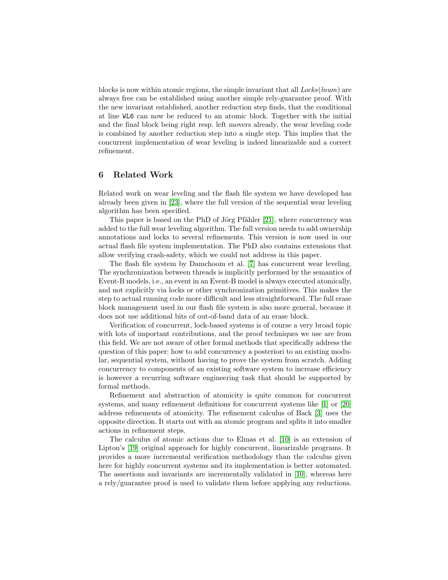blocks is now within atomic regions, the simple invariant that all  $Locks(lnum)$  are always free can be established using another simple rely-guarantee proof. With the new invariant established, another reduction step finds, that the conditional at line WL6 can now be reduced to an atomic block. Together with the initial and the final block being right resp. left movers already, the wear leveling code is combined by another reduction step into a single step. This implies that the concurrent implementation of wear leveling is indeed linearizable and a correct refinement.

# <span id="page-14-0"></span>6 Related Work

Related work on wear leveling and the flash file system we have developed has already been given in [\[23\]](#page-16-6), where the full version of the sequential wear leveling algorithm has been specified.

This paper is based on the PhD of Jörg Pfähler  $[21]$ , where concurrency was added to the full wear leveling algorithm. The full version needs to add ownership annotations and locks to several refinements. This version is now used in our actual flash file system implementation. The PhD also contains extensions that allow verifying crash-safety, which we could not address in this paper.

The flash file system by Damchoom et al. [\[7\]](#page-15-3) has concurrent wear leveling. The synchronization between threads is implicitly performed by the semantics of Event-B models, i.e., an event in an Event-B model is always executed atomically, and not explicitly via locks or other synchronization primitives. This makes the step to actual running code more difficult and less straightforward. The full erase block management used in our flash file system is also more general, because it does not use additional bits of out-of-band data of an erase block.

Verification of concurrent, lock-based systems is of course a very broad topic with lots of important contributions, and the proof techniques we use are from this field. We are not aware of other formal methods that specifically address the question of this paper: how to add concurrency a posteriori to an existing modular, sequential system, without having to prove the system from scratch. Adding concurrency to components of an existing software system to increase efficiency is however a recurring software engineering task that should be supported by formal methods.

Refinement and abstraction of atomicity is quite common for concurrent systems, and many refinement definitions for concurrent systems like [\[1\]](#page-15-4) or [\[20\]](#page-16-14) address refinements of atomicity. The refinement calculus of Back [\[3\]](#page-15-5) uses the opposite direction. It starts out with an atomic program and splits it into smaller actions in refinement steps.

The calculus of atomic actions due to Elmas et al. [\[10\]](#page-16-11) is an extension of Lipton's [\[19\]](#page-16-10) original approach for highly concurrent, linearizable programs. It provides a more incremental verification methodology than the calculus given here for highly concurrent systems and its implementation is better automated. The assertions and invariants are incrementally validated in [\[10\]](#page-16-11), whereas here a rely/guarantee proof is used to validate them before applying any reductions.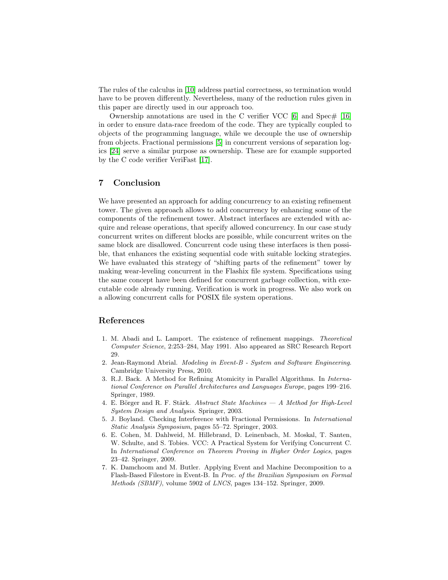The rules of the calculus in [\[10\]](#page-16-11) address partial correctness, so termination would have to be proven differently. Nevertheless, many of the reduction rules given in this paper are directly used in our approach too.

Ownership annotations are used in the C verifier VCC  $[6]$  and Spec#  $[16]$ in order to ensure data-race freedom of the code. They are typically coupled to objects of the programming language, while we decouple the use of ownership from objects. Fractional permissions [\[5\]](#page-15-7) in concurrent versions of separation logics [\[24\]](#page-16-16) serve a similar purpose as ownership. These are for example supported by the C code verifier VeriFast [\[17\]](#page-16-17).

# <span id="page-15-2"></span>7 Conclusion

We have presented an approach for adding concurrency to an existing refinement tower. The given approach allows to add concurrency by enhancing some of the components of the refinement tower. Abstract interfaces are extended with acquire and release operations, that specify allowed concurrency. In our case study concurrent writes on different blocks are possible, while concurrent writes on the same block are disallowed. Concurrent code using these interfaces is then possible, that enhances the existing sequential code with suitable locking strategies. We have evaluated this strategy of "shifting parts of the refinement" tower by making wear-leveling concurrent in the Flashix file system. Specifications using the same concept have been defined for concurrent garbage collection, with executable code already running. Verification is work in progress. We also work on a allowing concurrent calls for POSIX file system operations.

### References

- <span id="page-15-4"></span>1. M. Abadi and L. Lamport. The existence of refinement mappings. Theoretical Computer Science, 2:253–284, May 1991. Also appeared as SRC Research Report 29.
- <span id="page-15-0"></span>2. Jean-Raymond Abrial. Modeling in Event-B - System and Software Engineering. Cambridge University Press, 2010.
- <span id="page-15-5"></span>3. R.J. Back. A Method for Refining Atomicity in Parallel Algorithms. In International Conference on Parallel Architectures and Languages Europe, pages 199–216. Springer, 1989.
- <span id="page-15-1"></span>4. E. Börger and R. F. Stärk. Abstract State Machines  $- A$  Method for High-Level System Design and Analysis. Springer, 2003.
- <span id="page-15-7"></span>5. J. Boyland. Checking Interference with Fractional Permissions. In International Static Analysis Symposium, pages 55–72. Springer, 2003.
- <span id="page-15-6"></span>6. E. Cohen, M. Dahlweid, M. Hillebrand, D. Leinenbach, M. Moskal, T. Santen, W. Schulte, and S. Tobies. VCC: A Practical System for Verifying Concurrent C. In International Conference on Theorem Proving in Higher Order Logics, pages 23–42. Springer, 2009.
- <span id="page-15-3"></span>7. K. Damchoom and M. Butler. Applying Event and Machine Decomposition to a Flash-Based Filestore in Event-B. In Proc. of the Brazilian Symposium on Formal Methods (SBMF), volume 5902 of LNCS, pages 134–152. Springer, 2009.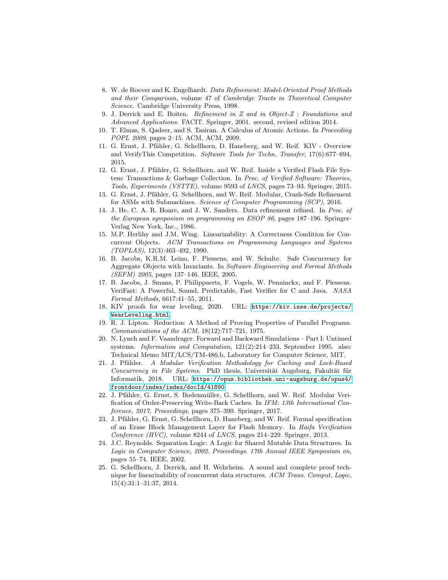- <span id="page-16-1"></span>8. W. de Roever and K. Engelhardt. Data Refinement: Model-Oriented Proof Methods and their Comparison, volume 47 of Cambridge Tracts in Theoretical Computer Science. Cambridge University Press, 1998.
- <span id="page-16-2"></span>9. J. Derrick and E. Boiten. Refinement in Z and in Object-Z : Foundations and Advanced Applications. FACIT. Springer, 2001. second, revised edition 2014.
- <span id="page-16-11"></span>10. T. Elmas, S. Qadeer, and S. Tasiran. A Calculus of Atomic Actions. In Proceeding POPL 2009, pages 2–15. ACM, ACM, 2009.
- <span id="page-16-7"></span>11. G. Ernst, J. Pfähler, G. Schellhorn, D. Haneberg, and W. Reif. KIV - Overview and VerifyThis Competition. Software Tools for Techn. Transfer, 17(6):677–694, 2015.
- <span id="page-16-3"></span>12. G. Ernst, J. Pfähler, G. Schellhorn, and W. Reif. Inside a Verified Flash File System: Transactions & Garbage Collection. In Proc. of Verified Software: Theories, Tools, Experiments (VSTTE), volume 9593 of LNCS, pages 73–93. Springer, 2015.
- <span id="page-16-4"></span>13. G. Ernst, J. Pfähler, G. Schellhorn, and W. Reif. Modular, Crash-Safe Refinement for ASMs with Submachines. Science of Computer Programming (SCP), 2016.
- <span id="page-16-0"></span>14. J. He, C. A. R. Hoare, and J. W. Sanders. Data refinement refined. In Proc. of the European symposium on programming on ESOP 86, pages 187–196. Springer-Verlag New York, Inc., 1986.
- <span id="page-16-9"></span>15. M.P. Herlihy and J.M. Wing. Linearizability: A Correctness Condition for Concurrent Objects. ACM Transactions on Programming Languages and Systems  $(TOPLAS)$ , 12(3):463-492, 1990.
- <span id="page-16-15"></span>16. B. Jacobs, K.R.M. Leino, F. Piessens, and W. Schulte. Safe Concurrency for Aggregate Objects with Invariants. In Software Engineering and Formal Methods (SEFM) 2005, pages 137–146. IEEE, 2005.
- <span id="page-16-17"></span>17. B. Jacobs, J. Smans, P. Philippaerts, F. Vogels, W. Penninckx, and F. Piessens. VeriFast: A Powerful, Sound, Predictable, Fast Verifier for C and Java. NASA Formal Methods, 6617:41–55, 2011.
- <span id="page-16-8"></span>18. KIV proofs for wear leveling, 2020. URL: [https://kiv.isse.de/projects/](https://kiv.isse.de/projects/WearLeveling.html) [WearLeveling.html](https://kiv.isse.de/projects/WearLeveling.html).
- <span id="page-16-10"></span>19. R. J. Lipton. Reduction: A Method of Proving Properties of Parallel Programs. Communications of the ACM, 18(12):717–721, 1975.
- <span id="page-16-14"></span>20. N. Lynch and F. Vaandrager. Forward and Backward Simulations – Part I: Untimed systems. Information and Computation, 121(2):214–233, September 1995. also: Technical Memo MIT/LCS/TM-486.b, Laboratory for Computer Science, MIT.
- <span id="page-16-13"></span>21. J. Pfähler. A Modular Verification Methodology for Caching and Lock-Based Concurrency in File Systems. PhD thesis, Universität Augsburg, Fakultät für Informatik, 2018. URL: [https://opus.bibliothek.uni-augsburg.de/opus4/](https://opus.bibliothek.uni-augsburg.de/opus4/frontdoor/index/index/docId/41890) [frontdoor/index/index/docId/41890](https://opus.bibliothek.uni-augsburg.de/opus4/frontdoor/index/index/docId/41890).
- <span id="page-16-5"></span>22. J. Pfähler, G. Ernst, S. Bodenmüller, G. Schellhorn, and W. Reif. Modular Verification of Order-Preserving Write-Back Caches. In IFM: 13th International Conference, 2017, Proceedings, pages 375–390. Springer, 2017.
- <span id="page-16-6"></span>23. J. Pfähler, G. Ernst, G. Schellhorn, D. Haneberg, and W. Reif. Formal specification of an Erase Block Management Layer for Flash Memory. In Haifa Verification Conference (HVC), volume 8244 of LNCS, pages 214–229. Springer, 2013.
- <span id="page-16-16"></span>24. J.C. Reynolds. Separation Logic: A Logic for Shared Mutable Data Structures. In Logic in Computer Science, 2002. Proceedings. 17th Annual IEEE Symposium on, pages 55–74. IEEE, 2002.
- <span id="page-16-12"></span>25. G. Schellhorn, J. Derrick, and H. Wehrheim. A sound and complete proof technique for linearizability of concurrent data structures. ACM Trans. Comput. Logic, 15(4):31:1–31:37, 2014.